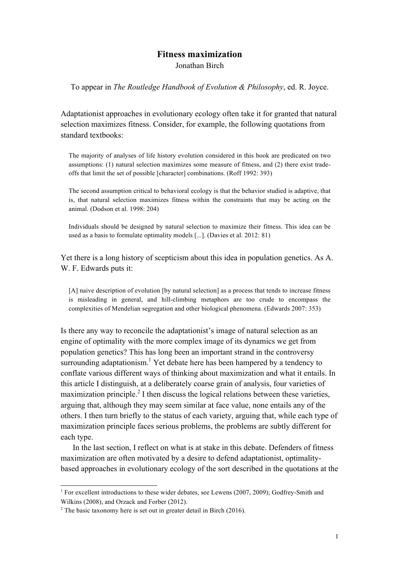# **Fitness maximization**

Jonathan Birch

To appear in *The Routledge Handbook of Evolution & Philosophy*, ed. R. Joyce.

Adaptationist approaches in evolutionary ecology often take it for granted that natural selection maximizes fitness. Consider, for example, the following quotations from standard textbooks:

The majority of analyses of life history evolution considered in this book are predicated on two assumptions: (1) natural selection maximizes some measure of fitness, and (2) there exist tradeoffs that limit the set of possible [character] combinations. (Roff 1992: 393)

The second assumption critical to behavioral ecology is that the behavior studied is adaptive, that is, that natural selection maximizes fitness within the constraints that may be acting on the animal. (Dodson et al. 1998: 204)

Individuals should be designed by natural selection to maximize their fitness. This idea can be used as a basis to formulate optimality models [...]. (Davies et al. 2012: 81)

Yet there is a long history of scepticism about this idea in population genetics. As A. W. F. Edwards puts it:

[A] naive description of evolution [by natural selection] as a process that tends to increase fitness is misleading in general, and hill-climbing metaphors are too crude to encompass the complexities of Mendelian segregation and other biological phenomena. (Edwards 2007: 353)

Is there any way to reconcile the adaptationist's image of natural selection as an engine of optimality with the more complex image of its dynamics we get from population genetics? This has long been an important strand in the controversy surrounding adaptationism.<sup>1</sup> Yet debate here has been hampered by a tendency to conflate various different ways of thinking about maximization and what it entails. In this article I distinguish, at a deliberately coarse grain of analysis, four varieties of maximization principle.<sup>2</sup> I then discuss the logical relations between these varieties, arguing that, although they may seem similar at face value, none entails any of the others. I then turn briefly to the status of each variety, arguing that, while each type of maximization principle faces serious problems, the problems are subtly different for each type.

In the last section, I reflect on what is at stake in this debate. Defenders of fitness maximization are often motivated by a desire to defend adaptationist, optimalitybased approaches in evolutionary ecology of the sort described in the quotations at the

<sup>&</sup>lt;sup>1</sup> For excellent introductions to these wider debates, see Lewens (2007, 2009); Godfrey-Smith and Wilkins (2008), and Orzack and Forber (2012).

 $2$  The basic taxonomy here is set out in greater detail in Birch (2016).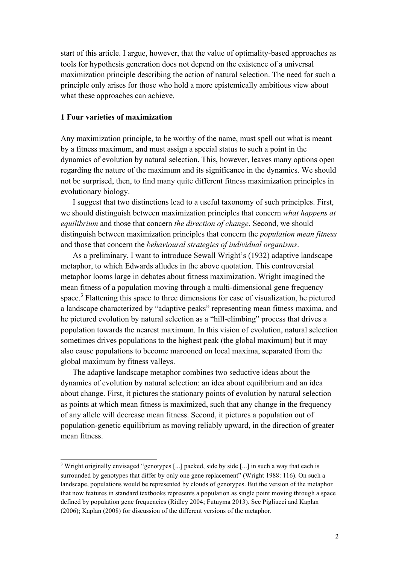start of this article. I argue, however, that the value of optimality-based approaches as tools for hypothesis generation does not depend on the existence of a universal maximization principle describing the action of natural selection. The need for such a principle only arises for those who hold a more epistemically ambitious view about what these approaches can achieve.

# **1 Four varieties of maximization**

Any maximization principle, to be worthy of the name, must spell out what is meant by a fitness maximum, and must assign a special status to such a point in the dynamics of evolution by natural selection. This, however, leaves many options open regarding the nature of the maximum and its significance in the dynamics. We should not be surprised, then, to find many quite different fitness maximization principles in evolutionary biology.

I suggest that two distinctions lead to a useful taxonomy of such principles. First, we should distinguish between maximization principles that concern *what happens at equilibrium* and those that concern *the direction of change*. Second, we should distinguish between maximization principles that concern the *population mean fitness*  and those that concern the *behavioural strategies of individual organisms*.

As a preliminary, I want to introduce Sewall Wright's (1932) adaptive landscape metaphor, to which Edwards alludes in the above quotation. This controversial metaphor looms large in debates about fitness maximization. Wright imagined the mean fitness of a population moving through a multi-dimensional gene frequency space.<sup>3</sup> Flattening this space to three dimensions for ease of visualization, he pictured a landscape characterized by "adaptive peaks" representing mean fitness maxima, and he pictured evolution by natural selection as a "hill-climbing" process that drives a population towards the nearest maximum. In this vision of evolution, natural selection sometimes drives populations to the highest peak (the global maximum) but it may also cause populations to become marooned on local maxima, separated from the global maximum by fitness valleys.

The adaptive landscape metaphor combines two seductive ideas about the dynamics of evolution by natural selection: an idea about equilibrium and an idea about change. First, it pictures the stationary points of evolution by natural selection as points at which mean fitness is maximized, such that any change in the frequency of any allele will decrease mean fitness. Second, it pictures a population out of population-genetic equilibrium as moving reliably upward, in the direction of greater mean fitness.

<sup>&</sup>lt;sup>3</sup> Wright originally envisaged "genotypes [...] packed, side by side [...] in such a way that each is surrounded by genotypes that differ by only one gene replacement" (Wright 1988: 116). On such a landscape, populations would be represented by clouds of genotypes. But the version of the metaphor that now features in standard textbooks represents a population as single point moving through a space defined by population gene frequencies (Ridley 2004; Futuyma 2013). See Pigliucci and Kaplan (2006); Kaplan (2008) for discussion of the different versions of the metaphor.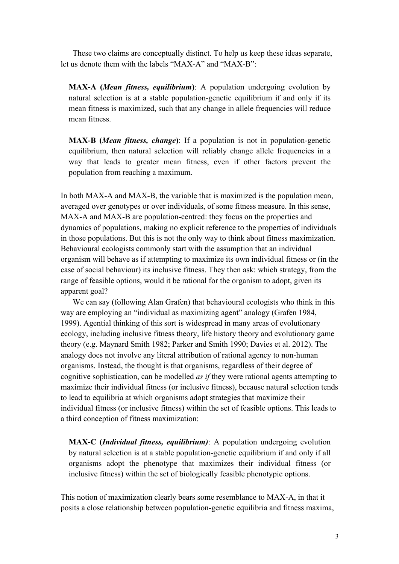These two claims are conceptually distinct. To help us keep these ideas separate, let us denote them with the labels "MAX-A" and "MAX-B":

**MAX-A (***Mean fitness, equilibrium***)**: A population undergoing evolution by natural selection is at a stable population-genetic equilibrium if and only if its mean fitness is maximized, such that any change in allele frequencies will reduce mean fitness.

**MAX-B (***Mean fitness, change***)**: If a population is not in population-genetic equilibrium, then natural selection will reliably change allele frequencies in a way that leads to greater mean fitness, even if other factors prevent the population from reaching a maximum.

In both MAX-A and MAX-B, the variable that is maximized is the population mean, averaged over genotypes or over individuals, of some fitness measure. In this sense, MAX-A and MAX-B are population-centred: they focus on the properties and dynamics of populations, making no explicit reference to the properties of individuals in those populations. But this is not the only way to think about fitness maximization. Behavioural ecologists commonly start with the assumption that an individual organism will behave as if attempting to maximize its own individual fitness or (in the case of social behaviour) its inclusive fitness. They then ask: which strategy, from the range of feasible options, would it be rational for the organism to adopt, given its apparent goal?

We can say (following Alan Grafen) that behavioural ecologists who think in this way are employing an "individual as maximizing agent" analogy (Grafen 1984, 1999). Agential thinking of this sort is widespread in many areas of evolutionary ecology, including inclusive fitness theory, life history theory and evolutionary game theory (e.g. Maynard Smith 1982; Parker and Smith 1990; Davies et al. 2012). The analogy does not involve any literal attribution of rational agency to non-human organisms. Instead, the thought is that organisms, regardless of their degree of cognitive sophistication, can be modelled *as if* they were rational agents attempting to maximize their individual fitness (or inclusive fitness), because natural selection tends to lead to equilibria at which organisms adopt strategies that maximize their individual fitness (or inclusive fitness) within the set of feasible options. This leads to a third conception of fitness maximization:

**MAX-C (***Individual fitness, equilibrium)*: A population undergoing evolution by natural selection is at a stable population-genetic equilibrium if and only if all organisms adopt the phenotype that maximizes their individual fitness (or inclusive fitness) within the set of biologically feasible phenotypic options.

This notion of maximization clearly bears some resemblance to MAX-A, in that it posits a close relationship between population-genetic equilibria and fitness maxima,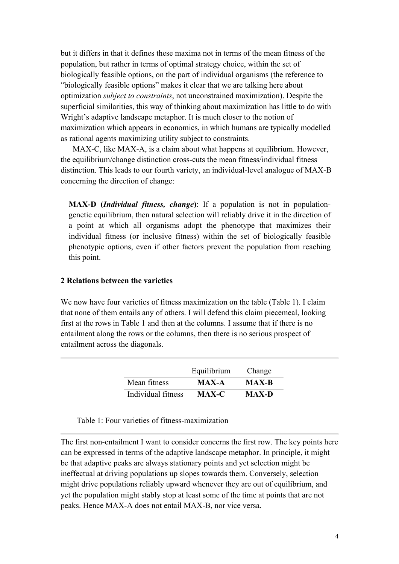but it differs in that it defines these maxima not in terms of the mean fitness of the population, but rather in terms of optimal strategy choice, within the set of biologically feasible options, on the part of individual organisms (the reference to "biologically feasible options" makes it clear that we are talking here about optimization *subject to constraints*, not unconstrained maximization). Despite the superficial similarities, this way of thinking about maximization has little to do with Wright's adaptive landscape metaphor. It is much closer to the notion of maximization which appears in economics, in which humans are typically modelled as rational agents maximizing utility subject to constraints.

MAX-C, like MAX-A, is a claim about what happens at equilibrium. However, the equilibrium/change distinction cross-cuts the mean fitness/individual fitness distinction. This leads to our fourth variety, an individual-level analogue of MAX-B concerning the direction of change:

**MAX-D (***Individual fitness, change***)**: If a population is not in populationgenetic equilibrium, then natural selection will reliably drive it in the direction of a point at which all organisms adopt the phenotype that maximizes their individual fitness (or inclusive fitness) within the set of biologically feasible phenotypic options, even if other factors prevent the population from reaching this point.

## **2 Relations between the varieties**

We now have four varieties of fitness maximization on the table (Table 1). I claim that none of them entails any of others. I will defend this claim piecemeal, looking first at the rows in Table 1 and then at the columns. I assume that if there is no entailment along the rows or the columns, then there is no serious prospect of entailment across the diagonals.

|                    | Equilibrium | Change       |
|--------------------|-------------|--------------|
| Mean fitness       | $MAX-A$     | <b>MAX-B</b> |
| Individual fitness | MAX-C       | <b>MAX-D</b> |

Table 1: Four varieties of fitness-maximization

The first non-entailment I want to consider concerns the first row. The key points here can be expressed in terms of the adaptive landscape metaphor. In principle, it might be that adaptive peaks are always stationary points and yet selection might be ineffectual at driving populations up slopes towards them. Conversely, selection might drive populations reliably upward whenever they are out of equilibrium, and yet the population might stably stop at least some of the time at points that are not peaks. Hence MAX-A does not entail MAX-B, nor vice versa.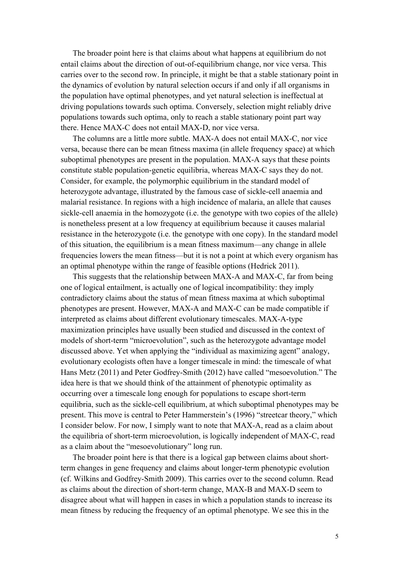The broader point here is that claims about what happens at equilibrium do not entail claims about the direction of out-of-equilibrium change, nor vice versa. This carries over to the second row. In principle, it might be that a stable stationary point in the dynamics of evolution by natural selection occurs if and only if all organisms in the population have optimal phenotypes, and yet natural selection is ineffectual at driving populations towards such optima. Conversely, selection might reliably drive populations towards such optima, only to reach a stable stationary point part way there. Hence MAX-C does not entail MAX-D, nor vice versa.

The columns are a little more subtle. MAX-A does not entail MAX-C, nor vice versa, because there can be mean fitness maxima (in allele frequency space) at which suboptimal phenotypes are present in the population. MAX-A says that these points constitute stable population-genetic equilibria, whereas MAX-C says they do not. Consider, for example, the polymorphic equilibrium in the standard model of heterozygote advantage, illustrated by the famous case of sickle-cell anaemia and malarial resistance. In regions with a high incidence of malaria, an allele that causes sickle-cell anaemia in the homozygote (i.e. the genotype with two copies of the allele) is nonetheless present at a low frequency at equilibrium because it causes malarial resistance in the heterozygote (i.e. the genotype with one copy). In the standard model of this situation, the equilibrium is a mean fitness maximum—any change in allele frequencies lowers the mean fitness—but it is not a point at which every organism has an optimal phenotype within the range of feasible options (Hedrick 2011).

This suggests that the relationship between MAX-A and MAX-C, far from being one of logical entailment, is actually one of logical incompatibility: they imply contradictory claims about the status of mean fitness maxima at which suboptimal phenotypes are present. However, MAX-A and MAX-C can be made compatible if interpreted as claims about different evolutionary timescales. MAX-A-type maximization principles have usually been studied and discussed in the context of models of short-term "microevolution", such as the heterozygote advantage model discussed above. Yet when applying the "individual as maximizing agent" analogy, evolutionary ecologists often have a longer timescale in mind: the timescale of what Hans Metz (2011) and Peter Godfrey-Smith (2012) have called "mesoevolution." The idea here is that we should think of the attainment of phenotypic optimality as occurring over a timescale long enough for populations to escape short-term equilibria, such as the sickle-cell equilibrium, at which suboptimal phenotypes may be present. This move is central to Peter Hammerstein's (1996) "streetcar theory," which I consider below. For now, I simply want to note that MAX-A, read as a claim about the equilibria of short-term microevolution, is logically independent of MAX-C, read as a claim about the "mesoevolutionary" long run.

The broader point here is that there is a logical gap between claims about shortterm changes in gene frequency and claims about longer-term phenotypic evolution (cf. Wilkins and Godfrey-Smith 2009). This carries over to the second column. Read as claims about the direction of short-term change, MAX-B and MAX-D seem to disagree about what will happen in cases in which a population stands to increase its mean fitness by reducing the frequency of an optimal phenotype. We see this in the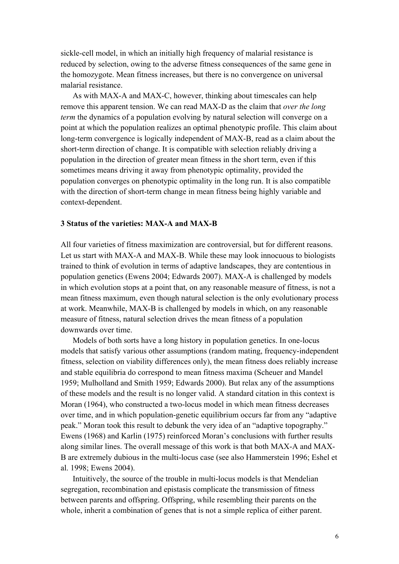sickle-cell model, in which an initially high frequency of malarial resistance is reduced by selection, owing to the adverse fitness consequences of the same gene in the homozygote. Mean fitness increases, but there is no convergence on universal malarial resistance.

As with MAX-A and MAX-C, however, thinking about timescales can help remove this apparent tension. We can read MAX-D as the claim that *over the long term* the dynamics of a population evolving by natural selection will converge on a point at which the population realizes an optimal phenotypic profile. This claim about long-term convergence is logically independent of MAX-B, read as a claim about the short-term direction of change. It is compatible with selection reliably driving a population in the direction of greater mean fitness in the short term, even if this sometimes means driving it away from phenotypic optimality, provided the population converges on phenotypic optimality in the long run. It is also compatible with the direction of short-term change in mean fitness being highly variable and context-dependent.

# **3 Status of the varieties: MAX-A and MAX-B**

All four varieties of fitness maximization are controversial, but for different reasons. Let us start with MAX-A and MAX-B. While these may look innocuous to biologists trained to think of evolution in terms of adaptive landscapes, they are contentious in population genetics (Ewens 2004; Edwards 2007). MAX-A is challenged by models in which evolution stops at a point that, on any reasonable measure of fitness, is not a mean fitness maximum, even though natural selection is the only evolutionary process at work. Meanwhile, MAX-B is challenged by models in which, on any reasonable measure of fitness, natural selection drives the mean fitness of a population downwards over time.

Models of both sorts have a long history in population genetics. In one-locus models that satisfy various other assumptions (random mating, frequency-independent fitness, selection on viability differences only), the mean fitness does reliably increase and stable equilibria do correspond to mean fitness maxima (Scheuer and Mandel 1959; Mulholland and Smith 1959; Edwards 2000). But relax any of the assumptions of these models and the result is no longer valid. A standard citation in this context is Moran (1964), who constructed a two-locus model in which mean fitness decreases over time, and in which population-genetic equilibrium occurs far from any "adaptive peak." Moran took this result to debunk the very idea of an "adaptive topography." Ewens (1968) and Karlin (1975) reinforced Moran's conclusions with further results along similar lines. The overall message of this work is that both MAX-A and MAX-B are extremely dubious in the multi-locus case (see also Hammerstein 1996; Eshel et al. 1998; Ewens 2004).

Intuitively, the source of the trouble in multi-locus models is that Mendelian segregation, recombination and epistasis complicate the transmission of fitness between parents and offspring. Offspring, while resembling their parents on the whole, inherit a combination of genes that is not a simple replica of either parent.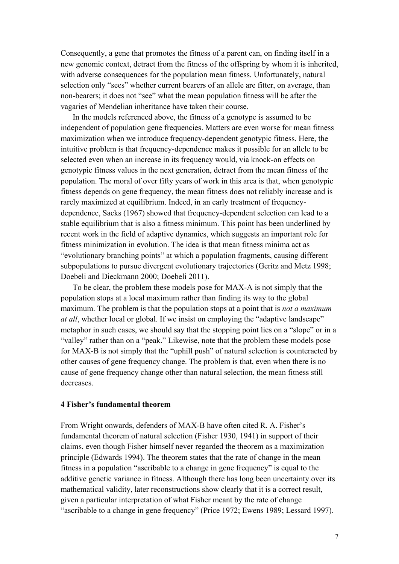Consequently, a gene that promotes the fitness of a parent can, on finding itself in a new genomic context, detract from the fitness of the offspring by whom it is inherited, with adverse consequences for the population mean fitness. Unfortunately, natural selection only "sees" whether current bearers of an allele are fitter, on average, than non-bearers; it does not "see" what the mean population fitness will be after the vagaries of Mendelian inheritance have taken their course.

In the models referenced above, the fitness of a genotype is assumed to be independent of population gene frequencies. Matters are even worse for mean fitness maximization when we introduce frequency-dependent genotypic fitness. Here, the intuitive problem is that frequency-dependence makes it possible for an allele to be selected even when an increase in its frequency would, via knock-on effects on genotypic fitness values in the next generation, detract from the mean fitness of the population. The moral of over fifty years of work in this area is that, when genotypic fitness depends on gene frequency, the mean fitness does not reliably increase and is rarely maximized at equilibrium. Indeed, in an early treatment of frequencydependence, Sacks (1967) showed that frequency-dependent selection can lead to a stable equilibrium that is also a fitness minimum. This point has been underlined by recent work in the field of adaptive dynamics, which suggests an important role for fitness minimization in evolution. The idea is that mean fitness minima act as "evolutionary branching points" at which a population fragments, causing different subpopulations to pursue divergent evolutionary trajectories (Geritz and Metz 1998; Doebeli and Dieckmann 2000; Doebeli 2011).

To be clear, the problem these models pose for MAX-A is not simply that the population stops at a local maximum rather than finding its way to the global maximum. The problem is that the population stops at a point that is *not a maximum at all*, whether local or global. If we insist on employing the "adaptive landscape" metaphor in such cases, we should say that the stopping point lies on a "slope" or in a "valley" rather than on a "peak." Likewise, note that the problem these models pose for MAX-B is not simply that the "uphill push" of natural selection is counteracted by other causes of gene frequency change. The problem is that, even when there is no cause of gene frequency change other than natural selection, the mean fitness still decreases.

#### **4 Fisher's fundamental theorem**

From Wright onwards, defenders of MAX-B have often cited R. A. Fisher's fundamental theorem of natural selection (Fisher 1930, 1941) in support of their claims, even though Fisher himself never regarded the theorem as a maximization principle (Edwards 1994). The theorem states that the rate of change in the mean fitness in a population "ascribable to a change in gene frequency" is equal to the additive genetic variance in fitness. Although there has long been uncertainty over its mathematical validity, later reconstructions show clearly that it is a correct result, given a particular interpretation of what Fisher meant by the rate of change "ascribable to a change in gene frequency" (Price 1972; Ewens 1989; Lessard 1997).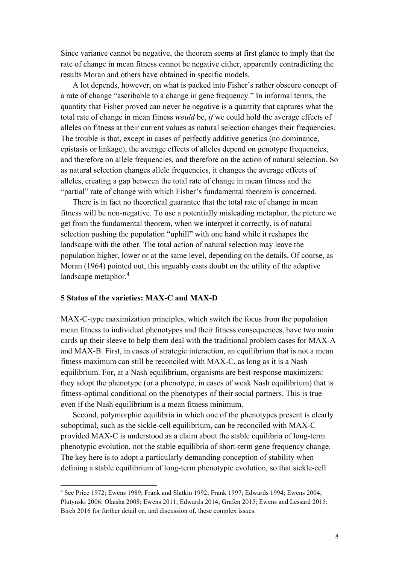Since variance cannot be negative, the theorem seems at first glance to imply that the rate of change in mean fitness cannot be negative either, apparently contradicting the results Moran and others have obtained in specific models.

A lot depends, however, on what is packed into Fisher's rather obscure concept of a rate of change "ascribable to a change in gene frequency." In informal terms, the quantity that Fisher proved can never be negative is a quantity that captures what the total rate of change in mean fitness *would* be, *if* we could hold the average effects of alleles on fitness at their current values as natural selection changes their frequencies. The trouble is that, except in cases of perfectly additive genetics (no dominance, epistasis or linkage), the average effects of alleles depend on genotype frequencies, and therefore on allele frequencies, and therefore on the action of natural selection. So as natural selection changes allele frequencies, it changes the average effects of alleles, creating a gap between the total rate of change in mean fitness and the "partial" rate of change with which Fisher's fundamental theorem is concerned.

There is in fact no theoretical guarantee that the total rate of change in mean fitness will be non-negative. To use a potentially misleading metaphor, the picture we get from the fundamental theorem, when we interpret it correctly, is of natural selection pushing the population "uphill" with one hand while it reshapes the landscape with the other. The total action of natural selection may leave the population higher, lower or at the same level, depending on the details. Of course, as Moran (1964) pointed out, this arguably casts doubt on the utility of the adaptive landscape metaphor.<sup>4</sup>

## **5 Status of the varieties: MAX-C and MAX-D**

MAX-C-type maximization principles, which switch the focus from the population mean fitness to individual phenotypes and their fitness consequences, have two main cards up their sleeve to help them deal with the traditional problem cases for MAX-A and MAX-B. First, in cases of strategic interaction, an equilibrium that is not a mean fitness maximum can still be reconciled with MAX-C, as long as it is a Nash equilibrium. For, at a Nash equilibrium, organisms are best-response maximizers: they adopt the phenotype (or a phenotype, in cases of weak Nash equilibrium) that is fitness-optimal conditional on the phenotypes of their social partners. This is true even if the Nash equilibrium is a mean fitness minimum.

Second, polymorphic equilibria in which one of the phenotypes present is clearly suboptimal, such as the sickle-cell equilibrium, can be reconciled with MAX-C provided MAX-C is understood as a claim about the stable equilibria of long-term phenotypic evolution, not the stable equilibria of short-term gene frequency change. The key here is to adopt a particularly demanding conception of stability when defining a stable equilibrium of long-term phenotypic evolution, so that sickle-cell

 <sup>4</sup> See Price 1972; Ewens 1989; Frank and Slatkin 1992; Frank 1997; Edwards 1994; Ewens 2004; Plutynski 2006; Okasha 2008; Ewens 2011; Edwards 2014; Grafen 2015; Ewens and Lessard 2015; Birch 2016 for further detail on, and discussion of, these complex issues.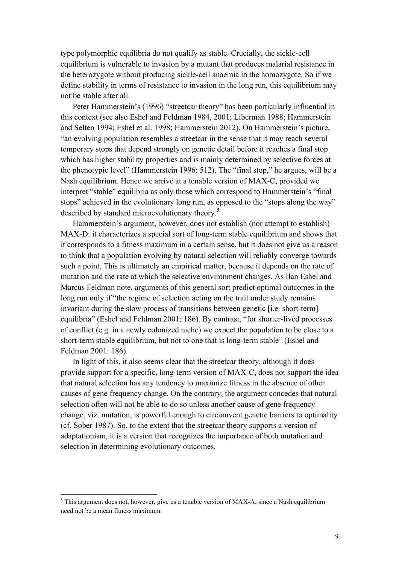type polymorphic equilibria do not qualify as stable. Crucially, the sickle-cell equilibrium is vulnerable to invasion by a mutant that produces malarial resistance in the heterozygote without producing sickle-cell anaemia in the homozygote. So if we define stability in terms of resistance to invasion in the long run, this equilibrium may not be stable after all.

Peter Hammerstein's (1996) "streetcar theory" has been particularly influential in this context (see also Eshel and Feldman 1984, 2001; Liberman 1988; Hammerstein and Selten 1994; Eshel et al. 1998; Hammerstein 2012). On Hammerstein's picture, "an evolving population resembles a streetcar in the sense that it may reach several temporary stops that depend strongly on genetic detail before it reaches a final stop which has higher stability properties and is mainly determined by selective forces at the phenotypic level" (Hammerstein 1996: 512). The "final stop," he argues, will be a Nash equilibrium. Hence we arrive at a tenable version of MAX-C, provided we interpret "stable" equilibria as only those which correspond to Hammerstein's "final stops" achieved in the evolutionary long run, as opposed to the "stops along the way" described by standard microevolutionary theory.<sup>5</sup>

Hammerstein's argument, however, does not establish (nor attempt to establish) MAX-D: it characterizes a special sort of long-term stable equilibrium and shows that it corresponds to a fitness maximum in a certain sense, but it does not give us a reason to think that a population evolving by natural selection will reliably converge towards such a point. This is ultimately an empirical matter, because it depends on the rate of mutation and the rate at which the selective environment changes. As Ilan Eshel and Marcus Feldman note, arguments of this general sort predict optimal outcomes in the long run only if "the regime of selection acting on the trait under study remains invariant during the slow process of transitions between genetic [i.e. short-term] equilibria" (Eshel and Feldman 2001: 186). By contrast, "for shorter-lived processes of conflict (e.g. in a newly colonized niche) we expect the population to be close to a short-term stable equilibrium, but not to one that is long-term stable" (Eshel and Feldman 2001: 186).

In light of this, it also seems clear that the streetcar theory, although it does provide support for a specific, long-term version of MAX-C, does not support the idea that natural selection has any tendency to maximize fitness in the absence of other causes of gene frequency change. On the contrary, the argument concedes that natural selection often will not be able to do so unless another cause of gene frequency change, viz. mutation, is powerful enough to circumvent genetic barriers to optimality (cf. Sober 1987). So, to the extent that the streetcar theory supports a version of adaptationism, it is a version that recognizes the importance of both mutation and selection in determining evolutionary outcomes.

 $<sup>5</sup>$  This argument does not, however, give us a tenable version of MAX-A, since a Nash equilibrium</sup> need not be a mean fitness maximum.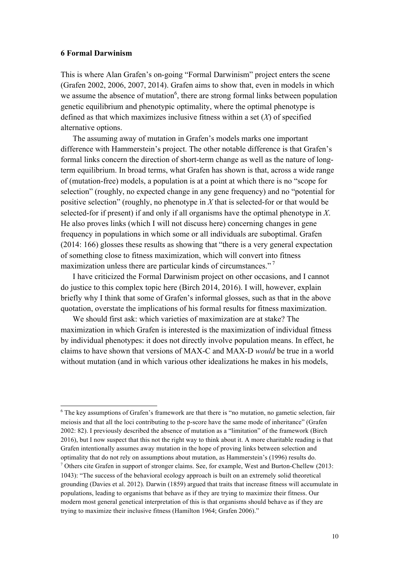#### **6 Formal Darwinism**

This is where Alan Grafen's on-going "Formal Darwinism" project enters the scene (Grafen 2002, 2006, 2007, 2014). Grafen aims to show that, even in models in which we assume the absence of mutation $<sup>6</sup>$ , there are strong formal links between population</sup> genetic equilibrium and phenotypic optimality, where the optimal phenotype is defined as that which maximizes inclusive fitness within a set (*X*) of specified alternative options.

The assuming away of mutation in Grafen's models marks one important difference with Hammerstein's project. The other notable difference is that Grafen's formal links concern the direction of short-term change as well as the nature of longterm equilibrium. In broad terms, what Grafen has shown is that, across a wide range of (mutation-free) models, a population is at a point at which there is no "scope for selection" (roughly, no expected change in any gene frequency) and no "potential for positive selection" (roughly, no phenotype in *X* that is selected-for or that would be selected-for if present) if and only if all organisms have the optimal phenotype in *X*. He also proves links (which I will not discuss here) concerning changes in gene frequency in populations in which some or all individuals are suboptimal. Grafen (2014: 166) glosses these results as showing that "there is a very general expectation of something close to fitness maximization, which will convert into fitness maximization unless there are particular kinds of circumstances."<sup>7</sup>

I have criticized the Formal Darwinism project on other occasions, and I cannot do justice to this complex topic here (Birch 2014, 2016). I will, however, explain briefly why I think that some of Grafen's informal glosses, such as that in the above quotation, overstate the implications of his formal results for fitness maximization.

We should first ask: which varieties of maximization are at stake? The maximization in which Grafen is interested is the maximization of individual fitness by individual phenotypes: it does not directly involve population means. In effect, he claims to have shown that versions of MAX-C and MAX-D *would* be true in a world without mutation (and in which various other idealizations he makes in his models,

 <sup>6</sup> The key assumptions of Grafen's framework are that there is "no mutation, no gametic selection, fair meiosis and that all the loci contributing to the p-score have the same mode of inheritance" (Grafen 2002: 82). I previously described the absence of mutation as a "limitation" of the framework (Birch 2016), but I now suspect that this not the right way to think about it. A more charitable reading is that Grafen intentionally assumes away mutation in the hope of proving links between selection and optimality that do not rely on assumptions about mutation, as Hammerstein's (1996) results do. <sup>7</sup> Others cite Grafen in support of stronger claims. See, for example, West and Burton-Chellew (2013: 1043): "The success of the behavioral ecology approach is built on an extremely solid theoretical grounding (Davies et al. 2012). Darwin (1859) argued that traits that increase fitness will accumulate in populations, leading to organisms that behave as if they are trying to maximize their fitness. Our modern most general genetical interpretation of this is that organisms should behave as if they are trying to maximize their inclusive fitness (Hamilton 1964; Grafen 2006)."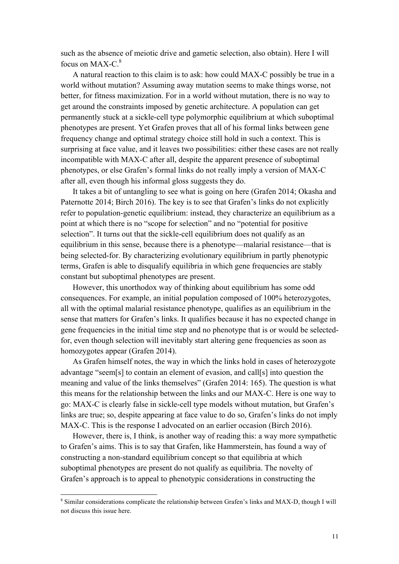such as the absence of meiotic drive and gametic selection, also obtain). Here I will focus on MAX- $C<sup>8</sup>$ 

A natural reaction to this claim is to ask: how could MAX-C possibly be true in a world without mutation? Assuming away mutation seems to make things worse, not better, for fitness maximization. For in a world without mutation, there is no way to get around the constraints imposed by genetic architecture. A population can get permanently stuck at a sickle-cell type polymorphic equilibrium at which suboptimal phenotypes are present. Yet Grafen proves that all of his formal links between gene frequency change and optimal strategy choice still hold in such a context. This is surprising at face value, and it leaves two possibilities: either these cases are not really incompatible with MAX-C after all, despite the apparent presence of suboptimal phenotypes, or else Grafen's formal links do not really imply a version of MAX-C after all, even though his informal gloss suggests they do.

It takes a bit of untangling to see what is going on here (Grafen 2014; Okasha and Paternotte 2014; Birch 2016). The key is to see that Grafen's links do not explicitly refer to population-genetic equilibrium: instead, they characterize an equilibrium as a point at which there is no "scope for selection" and no "potential for positive selection". It turns out that the sickle-cell equilibrium does not qualify as an equilibrium in this sense, because there is a phenotype—malarial resistance—that is being selected-for. By characterizing evolutionary equilibrium in partly phenotypic terms, Grafen is able to disqualify equilibria in which gene frequencies are stably constant but suboptimal phenotypes are present.

However, this unorthodox way of thinking about equilibrium has some odd consequences. For example, an initial population composed of 100% heterozygotes, all with the optimal malarial resistance phenotype, qualifies as an equilibrium in the sense that matters for Grafen's links. It qualifies because it has no expected change in gene frequencies in the initial time step and no phenotype that is or would be selectedfor, even though selection will inevitably start altering gene frequencies as soon as homozygotes appear (Grafen 2014).

As Grafen himself notes, the way in which the links hold in cases of heterozygote advantage "seem[s] to contain an element of evasion, and call[s] into question the meaning and value of the links themselves" (Grafen 2014: 165). The question is what this means for the relationship between the links and our MAX-C. Here is one way to go: MAX-C is clearly false in sickle-cell type models without mutation, but Grafen's links are true; so, despite appearing at face value to do so, Grafen's links do not imply MAX-C. This is the response I advocated on an earlier occasion (Birch 2016).

However, there is, I think, is another way of reading this: a way more sympathetic to Grafen's aims. This is to say that Grafen, like Hammerstein, has found a way of constructing a non-standard equilibrium concept so that equilibria at which suboptimal phenotypes are present do not qualify as equilibria. The novelty of Grafen's approach is to appeal to phenotypic considerations in constructing the

<sup>&</sup>lt;sup>8</sup> Similar considerations complicate the relationship between Grafen's links and MAX-D, though I will not discuss this issue here.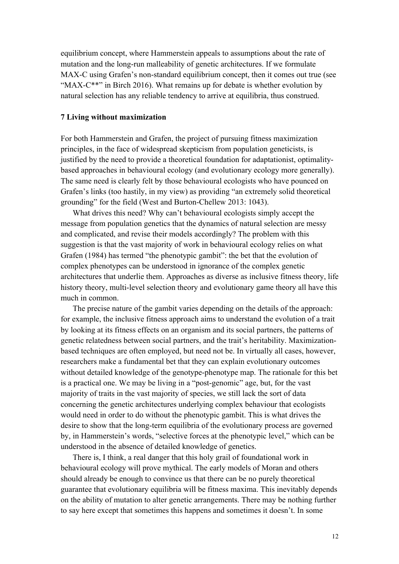equilibrium concept, where Hammerstein appeals to assumptions about the rate of mutation and the long-run malleability of genetic architectures. If we formulate MAX-C using Grafen's non-standard equilibrium concept, then it comes out true (see "MAX-C\*\*" in Birch 2016). What remains up for debate is whether evolution by natural selection has any reliable tendency to arrive at equilibria, thus construed.

#### **7 Living without maximization**

For both Hammerstein and Grafen, the project of pursuing fitness maximization principles, in the face of widespread skepticism from population geneticists, is justified by the need to provide a theoretical foundation for adaptationist, optimalitybased approaches in behavioural ecology (and evolutionary ecology more generally). The same need is clearly felt by those behavioural ecologists who have pounced on Grafen's links (too hastily, in my view) as providing "an extremely solid theoretical grounding" for the field (West and Burton-Chellew 2013: 1043).

What drives this need? Why can't behavioural ecologists simply accept the message from population genetics that the dynamics of natural selection are messy and complicated, and revise their models accordingly? The problem with this suggestion is that the vast majority of work in behavioural ecology relies on what Grafen (1984) has termed "the phenotypic gambit": the bet that the evolution of complex phenotypes can be understood in ignorance of the complex genetic architectures that underlie them. Approaches as diverse as inclusive fitness theory, life history theory, multi-level selection theory and evolutionary game theory all have this much in common.

The precise nature of the gambit varies depending on the details of the approach: for example, the inclusive fitness approach aims to understand the evolution of a trait by looking at its fitness effects on an organism and its social partners, the patterns of genetic relatedness between social partners, and the trait's heritability. Maximizationbased techniques are often employed, but need not be. In virtually all cases, however, researchers make a fundamental bet that they can explain evolutionary outcomes without detailed knowledge of the genotype-phenotype map. The rationale for this bet is a practical one. We may be living in a "post-genomic" age, but, for the vast majority of traits in the vast majority of species, we still lack the sort of data concerning the genetic architectures underlying complex behaviour that ecologists would need in order to do without the phenotypic gambit. This is what drives the desire to show that the long-term equilibria of the evolutionary process are governed by, in Hammerstein's words, "selective forces at the phenotypic level," which can be understood in the absence of detailed knowledge of genetics.

There is, I think, a real danger that this holy grail of foundational work in behavioural ecology will prove mythical. The early models of Moran and others should already be enough to convince us that there can be no purely theoretical guarantee that evolutionary equilibria will be fitness maxima. This inevitably depends on the ability of mutation to alter genetic arrangements. There may be nothing further to say here except that sometimes this happens and sometimes it doesn't. In some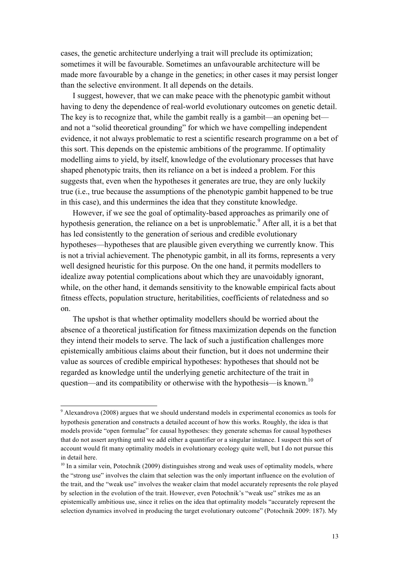cases, the genetic architecture underlying a trait will preclude its optimization; sometimes it will be favourable. Sometimes an unfavourable architecture will be made more favourable by a change in the genetics; in other cases it may persist longer than the selective environment. It all depends on the details.

I suggest, however, that we can make peace with the phenotypic gambit without having to deny the dependence of real-world evolutionary outcomes on genetic detail. The key is to recognize that, while the gambit really is a gambit—an opening bet and not a "solid theoretical grounding" for which we have compelling independent evidence, it not always problematic to rest a scientific research programme on a bet of this sort. This depends on the epistemic ambitions of the programme. If optimality modelling aims to yield, by itself, knowledge of the evolutionary processes that have shaped phenotypic traits, then its reliance on a bet is indeed a problem. For this suggests that, even when the hypotheses it generates are true, they are only luckily true (i.e., true because the assumptions of the phenotypic gambit happened to be true in this case), and this undermines the idea that they constitute knowledge.

However, if we see the goal of optimality-based approaches as primarily one of hypothesis generation, the reliance on a bet is unproblematic.<sup>9</sup> After all, it is a bet that has led consistently to the generation of serious and credible evolutionary hypotheses—hypotheses that are plausible given everything we currently know. This is not a trivial achievement. The phenotypic gambit, in all its forms, represents a very well designed heuristic for this purpose. On the one hand, it permits modellers to idealize away potential complications about which they are unavoidably ignorant, while, on the other hand, it demands sensitivity to the knowable empirical facts about fitness effects, population structure, heritabilities, coefficients of relatedness and so on.

The upshot is that whether optimality modellers should be worried about the absence of a theoretical justification for fitness maximization depends on the function they intend their models to serve. The lack of such a justification challenges more epistemically ambitious claims about their function, but it does not undermine their value as sources of credible empirical hypotheses: hypotheses that should not be regarded as knowledge until the underlying genetic architecture of the trait in question—and its compatibility or otherwise with the hypothesis—is known.<sup>10</sup>

 <sup>9</sup> Alexandrova (2008) argues that we should understand models in experimental economics as tools for hypothesis generation and constructs a detailed account of how this works. Roughly, the idea is that models provide "open formulae" for causal hypotheses: they generate schemas for causal hypotheses that do not assert anything until we add either a quantifier or a singular instance. I suspect this sort of account would fit many optimality models in evolutionary ecology quite well, but I do not pursue this in detail here.

 $10$  In a similar vein, Potochnik (2009) distinguishes strong and weak uses of optimality models, where the "strong use" involves the claim that selection was the only important influence on the evolution of the trait, and the "weak use" involves the weaker claim that model accurately represents the role played by selection in the evolution of the trait. However, even Potochnik's "weak use" strikes me as an epistemically ambitious use, since it relies on the idea that optimality models "accurately represent the selection dynamics involved in producing the target evolutionary outcome" (Potochnik 2009: 187). My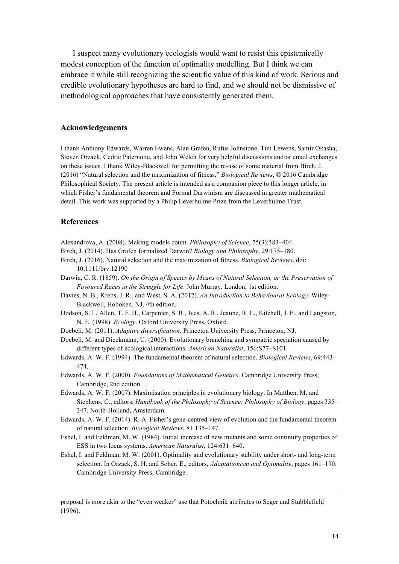I suspect many evolutionary ecologists would want to resist this epistemically modest conception of the function of optimality modelling. But I think we can embrace it while still recognizing the scientific value of this kind of work. Serious and credible evolutionary hypotheses are hard to find, and we should not be dismissive of methodological approaches that have consistently generated them.

#### **Acknowledgements**

I thank Anthony Edwards, Warren Ewens, Alan Grafen, Rufus Johnstone, Tim Lewens, Samir Okasha, Steven Orzack, Cedric Paternotte, and John Welch for very helpful discussions and/or email exchanges on these issues. I thank Wiley-Blackwell for permitting the re-use of some material from Birch, J. (2016) "Natural selection and the maximization of fitness," *Biological Reviews*, © 2016 Cambridge Philosophical Society. The present article is intended as a companion piece to this longer article, in which Fisher's fundamental theorem and Formal Darwinism are discussed in greater mathematical detail. This work was supported by a Philip Leverhulme Prize from the Leverhulme Trust.

#### **References**

 $\overline{a}$ 

- Alexandrova, A. (2008). Making models count. *Philosophy of Science*, 75(3):383–404.
- Birch, J. (2014). Has Grafen formalized Darwin? *Biology and Philosophy*, 29:175–180.
- Birch, J. (2016). Natural selection and the maximization of fitness. *Biological Reviews*. doi: 10.1111/brv.12190
- Darwin, C. R. (1859). *On the Origin of Species by Means of Natural Selection, or the Preservation of Favoured Races in the Struggle for Life*. John Murray, London, 1st edition.
- Davies, N. B., Krebs, J. R., and West, S. A. (2012). *An Introduction to Behavioural Ecology*. Wiley-Blackwell, Hoboken, NJ, 4th edition.
- Dodson, S. I., Allen, T. F. H., Carpenter, S. R., Ives, A. R., Jeanne, R. L., Kitchell, J. F., and Langston, N. E. (1998). *Ecology*. Oxford University Press, Oxford.
- Doebeli, M. (2011). *Adaptive diversification*. Princeton University Press, Princeton, NJ.
- Doebeli, M. and Dieckmann, U. (2000). Evolutionary branching and sympatric speciation caused by different types of ecological interactions. *American Naturalist*, 156:S77–S101.
- Edwards, A. W. F. (1994). The fundamental theorem of natural selection. *Biological Reviews*, 69:443– 474.
- Edwards, A. W. F. (2000). *Foundations of Mathematical Genetics*. Cambridge University Press, Cambridge, 2nd edition.
- Edwards, A. W. F. (2007). Maximisation principles in evolutionary biology. In Matthen, M. and Stephens, C., editors, *Handbook of the Philosophy of Science: Philosophy of Biology*, pages 335– 347. North-Holland, Amsterdam.
- Edwards, A. W. F. (2014). R. A. Fisher's gene-centred view of evolution and the fundamental theorem of natural selection. *Biological Reviews*, 81:135–147.
- Eshel, I. and Feldman, M. W. (1984). Initial increase of new mutants and some continuity properties of ESS in two locus systems. *American Naturalist*, 124:631–640.
- Eshel, I. and Feldman, M. W. (2001). Optimality and evolutionary stability under short- and long-term selection. In Orzack, S. H. and Sober, E., editors, *Adaptationism and Optimality*, pages 161–190. Cambridge University Press, Cambridge.

proposal is more akin to the "even weaker" use that Potochnik attributes to Seger and Stubblefield (1996).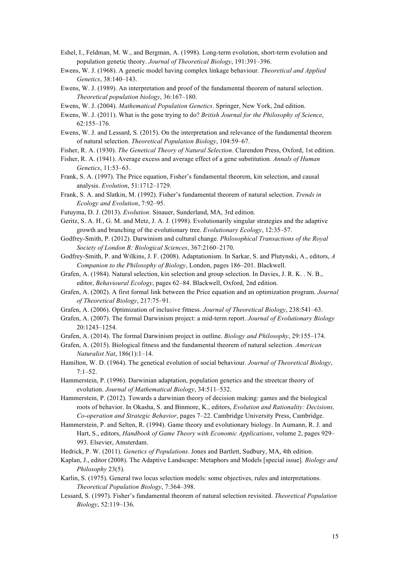- Eshel, I., Feldman, M. W., and Bergman, A. (1998). Long-term evolution, short-term evolution and population genetic theory. *Journal of Theoretical Biology*, 191:391–396.
- Ewens, W. J. (1968). A genetic model having complex linkage behaviour. *Theoretical and Applied Genetics*, 38:140–143.
- Ewens, W. J. (1989). An interpretation and proof of the fundamental theorem of natural selection. *Theoretical population biology*, 36:167–180.
- Ewens, W. J. (2004). *Mathematical Population Genetics*. Springer, New York, 2nd edition.
- Ewens, W. J. (2011). What is the gene trying to do? *British Journal for the Philosophy of Science*, 62:155–176.
- Ewens, W. J. and Lessard, S. (2015). On the interpretation and relevance of the fundamental theorem of natural selection. *Theoretical Population Biology*, 104:59–67.
- Fisher, R. A. (1930). *The Genetical Theory of Natural Selection*. Clarendon Press, Oxford, 1st edition.
- Fisher, R. A. (1941). Average excess and average effect of a gene substitution. *Annals of Human Genetics*, 11:53–63.
- Frank, S. A. (1997). The Price equation, Fisher's fundamental theorem, kin selection, and causal analysis. *Evolution*, 51:1712–1729.
- Frank, S. A. and Slatkin, M. (1992). Fisher's fundamental theorem of natural selection. *Trends in Ecology and Evolution*, 7:92–95.
- Futuyma, D. J. (2013). *Evolution*. Sinauer, Sunderland, MA, 3rd edition.
- Geritz, S. A. H., G. M. and Metz, J. A. J. (1998). Evolutionarily singular strategies and the adaptive growth and branching of the evolutionary tree. *Evolutionary Ecology*, 12:35–57.
- Godfrey-Smith, P. (2012). Darwinism and cultural change. *Philosophical Transactions of the Royal Society of London B: Biological Sciences*, 367:2160–2170.
- Godfrey-Smith, P. and Wilkins, J. F. (2008). Adaptationism. In Sarkar, S. and Plutynski, A., editors, *A Companion to the Philosophy of Biology*, London, pages 186–201. Blackwell.
- Grafen, A. (1984). Natural selection, kin selection and group selection. In Davies, J. R. K. . N. B., editor, *Behavioural Ecology*, pages 62–84. Blackwell, Oxford, 2nd edition.
- Grafen, A. (2002). A first formal link between the Price equation and an optimization program. *Journal of Theoretical Biology*, 217:75–91.
- Grafen, A. (2006). Optimization of inclusive fitness. *Journal of Theoretical Biology*, 238:541–63.
- Grafen, A. (2007). The formal Darwinism project: a mid-term report. *Journal of Evolutionary Biology* 20:1243–1254.
- Grafen, A. (2014). The formal Darwinism project in outline. *Biology and Philosophy*, 29:155–174.
- Grafen, A. (2015). Biological fitness and the fundamental theorem of natural selection. *American Naturalist Nat*, 186(1):1–14.
- Hamilton, W. D. (1964). The genetical evolution of social behaviour. *Journal of Theoretical Biology*,  $7.1 - 52.$
- Hammerstein, P. (1996). Darwinian adaptation, population genetics and the streetcar theory of evolution. *Journal of Mathematical Biology*, 34:511–532.
- Hammerstein, P. (2012). Towards a darwinian theory of decision making: games and the biological roots of behavior. In Okasha, S. and Binmore, K., editors, *Evolution and Rationality: Decisions, Co-operation and Strategic Behavior*, pages 7–22. Cambridge University Press, Cambridge.

Hammerstein, P. and Selten, R. (1994). Game theory and evolutionary biology. In Aumann, R. J. and Hart, S., editors, *Handbook of Game Theory with Economic Applications*, volume 2, pages 929– 993. Elsevier, Amsterdam.

- Hedrick, P. W. (2011). *Genetics of Populations*. Jones and Bartlett, Sudbury, MA, 4th edition.
- Kaplan, J., editor (2008). The Adaptive Landscape: Metaphors and Models [special issue]*. Biology and Philosophy* 23(5)*.*
- Karlin, S. (1975). General two locus selection models: some objectives, rules and interpretations. *Theoretical Population Biology*, 7:364–398.
- Lessard, S. (1997). Fisher's fundamental theorem of natural selection revisited. *Theoretical Population Biology*, 52:119–136.